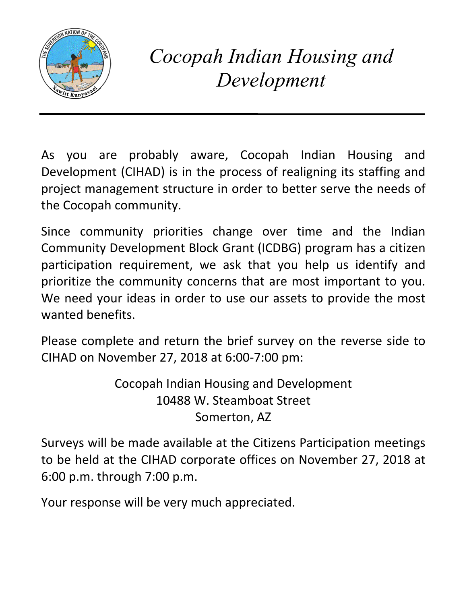

*Cocopah Indian Housing and Development*

As you are probably aware, Cocopah Indian Housing and Development (CIHAD) is in the process of realigning its staffing and project management structure in order to better serve the needs of the Cocopah community.

Since community priorities change over time and the Indian Community Development Block Grant (ICDBG) program has a citizen participation requirement, we ask that you help us identify and prioritize the community concerns that are most important to you. We need your ideas in order to use our assets to provide the most wanted benefits.

Please complete and return the brief survey on the reverse side to CIHAD on November 27, 2018 at 6:00-7:00 pm:

> Cocopah Indian Housing and Development 10488 W. Steamboat Street Somerton, AZ

Surveys will be made available at the Citizens Participation meetings to be held at the CIHAD corporate offices on November 27, 2018 at 6:00 p.m. through 7:00 p.m.

Your response will be very much appreciated.